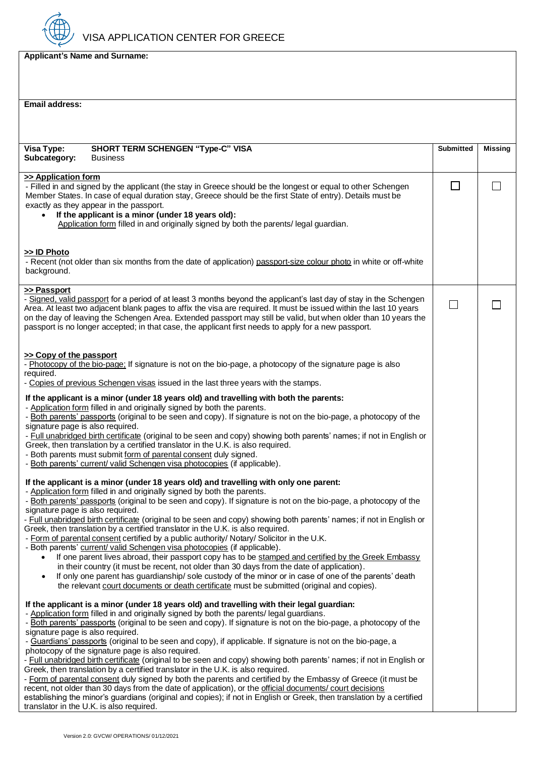

VISA APPLICATION CENTER FOR GREECE

**Applicant's Name and Surname:**

## **Email address:**

| <b>SHORT TERM SCHENGEN "Type-C" VISA</b><br>Visa Type:<br>Subcategory:<br><b>Business</b>                                                                                                                                                                                                                                                                                                                                                                                                                                                                                                                                                                                                                                                                                                                                                                                                                                                                                                                                                                                                                                                                                                                                                                                                                                                                                                 | <b>Submitted</b> | <b>Missing</b> |
|-------------------------------------------------------------------------------------------------------------------------------------------------------------------------------------------------------------------------------------------------------------------------------------------------------------------------------------------------------------------------------------------------------------------------------------------------------------------------------------------------------------------------------------------------------------------------------------------------------------------------------------------------------------------------------------------------------------------------------------------------------------------------------------------------------------------------------------------------------------------------------------------------------------------------------------------------------------------------------------------------------------------------------------------------------------------------------------------------------------------------------------------------------------------------------------------------------------------------------------------------------------------------------------------------------------------------------------------------------------------------------------------|------------------|----------------|
| >> Application form<br>- Filled in and signed by the applicant (the stay in Greece should be the longest or equal to other Schengen<br>Member States. In case of equal duration stay, Greece should be the first State of entry). Details must be<br>exactly as they appear in the passport.<br>If the applicant is a minor (under 18 years old):<br>$\bullet$<br>Application form filled in and originally signed by both the parents/legal guardian.                                                                                                                                                                                                                                                                                                                                                                                                                                                                                                                                                                                                                                                                                                                                                                                                                                                                                                                                    |                  |                |
| >> ID Photo<br>- Recent (not older than six months from the date of application) passport-size colour photo in white or off-white<br>background.                                                                                                                                                                                                                                                                                                                                                                                                                                                                                                                                                                                                                                                                                                                                                                                                                                                                                                                                                                                                                                                                                                                                                                                                                                          |                  |                |
| >> Passport<br>- Signed, valid passport for a period of at least 3 months beyond the applicant's last day of stay in the Schengen<br>Area. At least two adjacent blank pages to affix the visa are required. It must be issued within the last 10 years<br>on the day of leaving the Schengen Area. Extended passport may still be valid, but when older than 10 years the<br>passport is no longer accepted; in that case, the applicant first needs to apply for a new passport.                                                                                                                                                                                                                                                                                                                                                                                                                                                                                                                                                                                                                                                                                                                                                                                                                                                                                                        | П                |                |
| >> Copy of the passport<br>- Photocopy of the bio-page: If signature is not on the bio-page, a photocopy of the signature page is also<br>required.<br>- Copies of previous Schengen visas issued in the last three years with the stamps.<br>If the applicant is a minor (under 18 years old) and travelling with both the parents:<br>- Application form filled in and originally signed by both the parents.<br>- Both parents' passports (original to be seen and copy). If signature is not on the bio-page, a photocopy of the<br>signature page is also required.<br>- Full unabridged birth certificate (original to be seen and copy) showing both parents' names; if not in English or<br>Greek, then translation by a certified translator in the U.K. is also required.<br>- Both parents must submit form of parental consent duly signed.<br>- Both parents' current/ valid Schengen visa photocopies (if applicable).<br>If the applicant is a minor (under 18 years old) and travelling with only one parent:<br>- Application form filled in and originally signed by both the parents.<br>- Both parents' passports (original to be seen and copy). If signature is not on the bio-page, a photocopy of the<br>signature page is also required.<br>- Full unabridged birth certificate (original to be seen and copy) showing both parents' names; if not in English or |                  |                |
| Greek, then translation by a certified translator in the U.K. is also required.<br>- Form of parental consent certified by a public authority/ Notary/ Solicitor in the U.K.<br>- Both parents' current/ valid Schengen visa photocopies (if applicable).<br>If one parent lives abroad, their passport copy has to be stamped and certified by the Greek Embassy<br>in their country (it must be recent, not older than 30 days from the date of application).<br>If only one parent has guardianship/sole custody of the minor or in case of one of the parents' death<br>the relevant court documents or death certificate must be submitted (original and copies).                                                                                                                                                                                                                                                                                                                                                                                                                                                                                                                                                                                                                                                                                                                    |                  |                |
| If the applicant is a minor (under 18 years old) and travelling with their legal guardian:<br>- Application form filled in and originally signed by both the parents/legal guardians.<br>- Both parents' passports (original to be seen and copy). If signature is not on the bio-page, a photocopy of the<br>signature page is also required.<br>- Guardians' passports (original to be seen and copy), if applicable. If signature is not on the bio-page, a<br>photocopy of the signature page is also required.<br>- Full unabridged birth certificate (original to be seen and copy) showing both parents' names; if not in English or<br>Greek, then translation by a certified translator in the U.K. is also required.<br>- Form of parental consent duly signed by both the parents and certified by the Embassy of Greece (it must be<br>recent, not older than 30 days from the date of application), or the official documents/ court decisions<br>establishing the minor's guardians (original and copies); if not in English or Greek, then translation by a certified<br>translator in the U.K. is also required.                                                                                                                                                                                                                                                          |                  |                |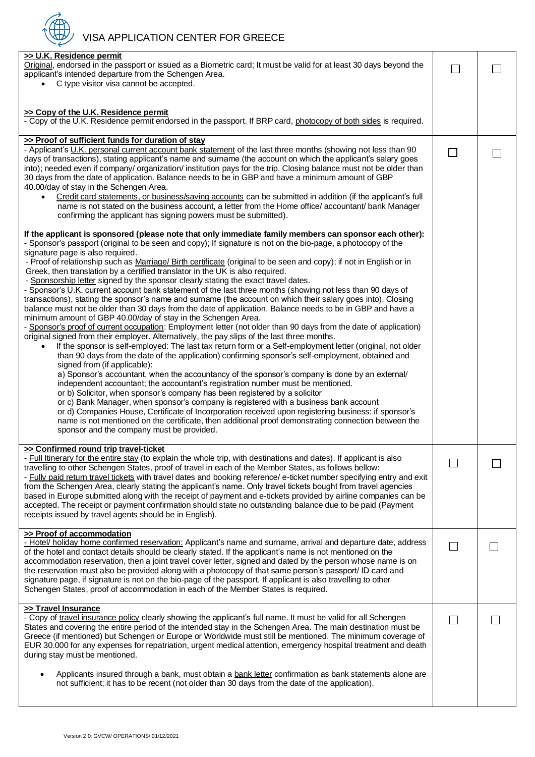